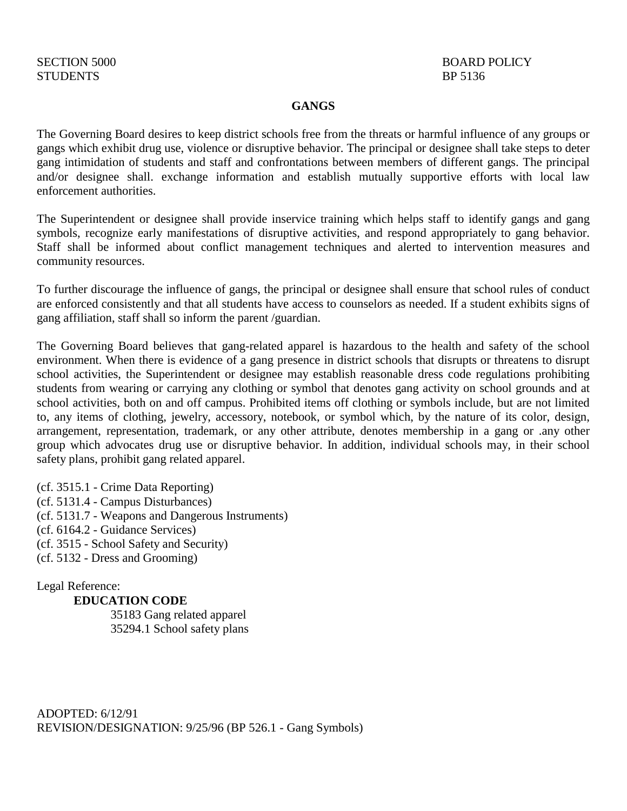## **GANGS**

The Governing Board desires to keep district schools free from the threats or harmful influence of any groups or gangs which exhibit drug use, violence or disruptive behavior. The principal or designee shall take steps to deter gang intimidation of students and staff and confrontations between members of different gangs. The principal and/or designee shall. exchange information and establish mutually supportive efforts with local law enforcement authorities.

The Superintendent or designee shall provide inservice training which helps staff to identify gangs and gang symbols, recognize early manifestations of disruptive activities, and respond appropriately to gang behavior. Staff shall be informed about conflict management techniques and alerted to intervention measures and community resources.

To further discourage the influence of gangs, the principal or designee shall ensure that school rules of conduct are enforced consistently and that all students have access to counselors as needed. If a student exhibits signs of gang affiliation, staff shall so inform the parent /guardian.

The Governing Board believes that gang-related apparel is hazardous to the health and safety of the school environment. When there is evidence of a gang presence in district schools that disrupts or threatens to disrupt school activities, the Superintendent or designee may establish reasonable dress code regulations prohibiting students from wearing or carrying any clothing or symbol that denotes gang activity on school grounds and at school activities, both on and off campus. Prohibited items off clothing or symbols include, but are not limited to, any items of clothing, jewelry, accessory, notebook, or symbol which, by the nature of its color, design, arrangement, representation, trademark, or any other attribute, denotes membership in a gang or .any other group which advocates drug use or disruptive behavior. In addition, individual schools may, in their school safety plans, prohibit gang related apparel.

(cf. 3515.1 - Crime Data Reporting) (cf. 5131.4 - Campus Disturbances) (cf. 5131.7 - Weapons and Dangerous Instruments) (cf. 6164.2 - Guidance Services) (cf. 3515 - School Safety and Security) (cf. 5132 - Dress and Grooming)

Legal Reference:

**EDUCATION CODE** 

35183 Gang related apparel 35294.1 School safety plans